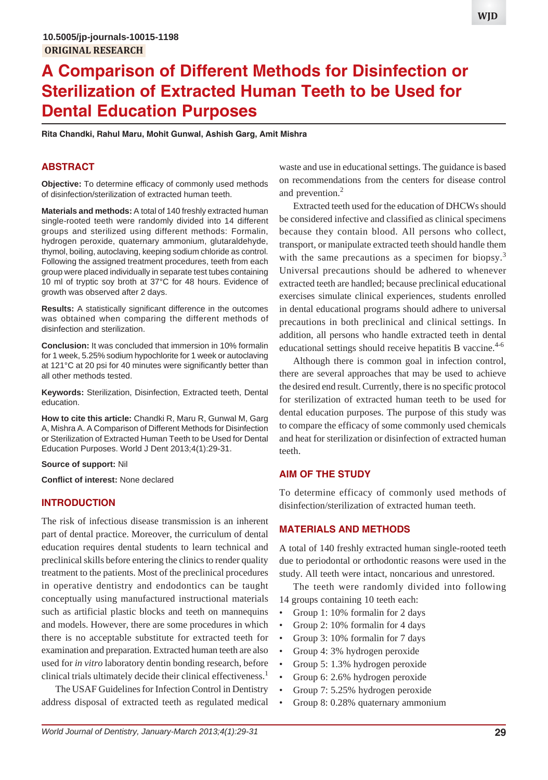# **A Comparison of Different Methods for Disinfection or Sterilization of Extracted Human Teeth to be Used for Dental Education Purposes**

**Rita Chandki, Rahul Maru, Mohit Gunwal, Ashish Garg, Amit Mishra**

# **ABSTRACT**

**Objective:** To determine efficacy of commonly used methods of disinfection/sterilization of extracted human teeth.

**Materials and methods:** A total of 140 freshly extracted human single-rooted teeth were randomly divided into 14 different groups and sterilized using different methods: Formalin, hydrogen peroxide, quaternary ammonium, glutaraldehyde, thymol, boiling, autoclaving, keeping sodium chloride as control. Following the assigned treatment procedures, teeth from each group were placed individually in separate test tubes containing 10 ml of tryptic soy broth at 37°C for 48 hours. Evidence of growth was observed after 2 days.

**Results:** A statistically significant difference in the outcomes was obtained when comparing the different methods of disinfection and sterilization.

**Conclusion:** It was concluded that immersion in 10% formalin for 1 week, 5.25% sodium hypochlorite for 1 week or autoclaving at 121°C at 20 psi for 40 minutes were significantly better than all other methods tested.

**Keywords:** Sterilization, Disinfection, Extracted teeth, Dental education.

**How to cite this article:** Chandki R, Maru R, Gunwal M, Garg A, Mishra A. A Comparison of Different Methods for Disinfection or Sterilization of Extracted Human Teeth to be Used for Dental Education Purposes. World J Dent 2013;4(1):29-31.

#### **Source of support:** Nil

**Conflict of interest:** None declared

## **INTRODUCTION**

The risk of infectious disease transmission is an inherent part of dental practice. Moreover, the curriculum of dental education requires dental students to learn technical and preclinical skills before entering the clinics to render quality treatment to the patients. Most of the preclinical procedures in operative dentistry and endodontics can be taught conceptually using manufactured instructional materials such as artificial plastic blocks and teeth on mannequins and models. However, there are some procedures in which there is no acceptable substitute for extracted teeth for examination and preparation. Extracted human teeth are also used for *in vitro* laboratory dentin bonding research, before clinical trials ultimately decide their clinical effectiveness.<sup>1</sup>

The USAF Guidelines for Infection Control in Dentistry address disposal of extracted teeth as regulated medical waste and use in educational settings. The guidance is based on recommendations from the centers for disease control and prevention.<sup>2</sup>

Extracted teeth used for the education of DHCWs should be considered infective and classified as clinical specimens because they contain blood. All persons who collect, transport, or manipulate extracted teeth should handle them with the same precautions as a specimen for biopsy.<sup>3</sup> Universal precautions should be adhered to whenever extracted teeth are handled; because preclinical educational exercises simulate clinical experiences, students enrolled in dental educational programs should adhere to universal precautions in both preclinical and clinical settings. In addition, all persons who handle extracted teeth in dental educational settings should receive hepatitis B vaccine.<sup>4-6</sup>

Although there is common goal in infection control, there are several approaches that may be used to achieve the desired end result. Currently, there is no specific protocol for sterilization of extracted human teeth to be used for dental education purposes. The purpose of this study was to compare the efficacy of some commonly used chemicals and heat for sterilization or disinfection of extracted human teeth.

### **AIM OF THE STUDY**

To determine efficacy of commonly used methods of disinfection/sterilization of extracted human teeth.

## **MATERIALS AND METHODS**

A total of 140 freshly extracted human single-rooted teeth due to periodontal or orthodontic reasons were used in the study. All teeth were intact, noncarious and unrestored.

The teeth were randomly divided into following 14 groups containing 10 teeth each:

- Group 1: 10% formalin for 2 days
- Group 2: 10% formal in for 4 days
- Group 3: 10% formalin for 7 days
- Group 4:3% hydrogen peroxide
- Group 5: 1.3% hydrogen peroxide
- Group 6: 2.6% hydrogen peroxide
- Group 7: 5.25% hydrogen peroxide
- Group 8: 0.28% quaternary ammonium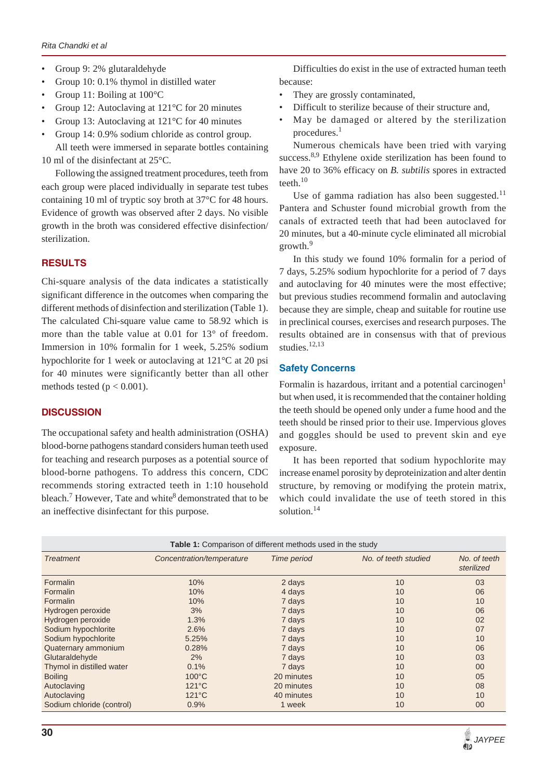- Group 9: 2% glutaraldehyde
- Group 10: 0.1% thymol in distilled water
- Group 11: Boiling at 100°C
- Group 12: Autoclaving at 121°C for 20 minutes
- Group 13: Autoclaving at 121°C for 40 minutes
- Group 14: 0.9% sodium chloride as control group.

All teeth were immersed in separate bottles containing 10 ml of the disinfectant at 25°C.

Following the assigned treatment procedures, teeth from each group were placed individually in separate test tubes containing 10 ml of tryptic soy broth at 37°C for 48 hours. Evidence of growth was observed after 2 days. No visible growth in the broth was considered effective disinfection/ sterilization.

# **RESULTS**

Chi-square analysis of the data indicates a statistically significant difference in the outcomes when comparing the different methods of disinfection and sterilization (Table 1). The calculated Chi-square value came to 58.92 which is more than the table value at 0.01 for 13° of freedom. Immersion in 10% formalin for 1 week, 5.25% sodium hypochlorite for 1 week or autoclaving at 121°C at 20 psi for 40 minutes were significantly better than all other methods tested ( $p < 0.001$ ).

## **DISCUSSION**

The occupational safety and health administration (OSHA) blood-borne pathogens standard considers human teeth used for teaching and research purposes as a potential source of blood-borne pathogens. To address this concern, CDC recommends storing extracted teeth in 1:10 household bleach.<sup>7</sup> However, Tate and white<sup>8</sup> demonstrated that to be an ineffective disinfectant for this purpose.

Difficulties do exist in the use of extracted human teeth because:

- They are grossly contaminated,
- Difficult to sterilize because of their structure and,
- May be damaged or altered by the sterilization procedures.<sup>1</sup>

Numerous chemicals have been tried with varying success.<sup>8,9</sup> Ethylene oxide sterilization has been found to have 20 to 36% efficacy on *B. subtilis* spores in extracted teeth $10$ 

Use of gamma radiation has also been suggested. $11$ Pantera and Schuster found microbial growth from the canals of extracted teeth that had been autoclaved for 20 minutes, but a 40-minute cycle eliminated all microbial growth.<sup>9</sup>

In this study we found 10% formalin for a period of 7 days, 5.25% sodium hypochlorite for a period of 7 days and autoclaving for 40 minutes were the most effective; but previous studies recommend formalin and autoclaving because they are simple, cheap and suitable for routine use in preclinical courses, exercises and research purposes. The results obtained are in consensus with that of previous studies. $12,13$ 

# **Safety Concerns**

Formalin is hazardous, irritant and a potential carcinogen<sup>1</sup> but when used, it is recommended that the container holding the teeth should be opened only under a fume hood and the teeth should be rinsed prior to their use. Impervious gloves and goggles should be used to prevent skin and eye exposure.

It has been reported that sodium hypochlorite may increase enamel porosity by deproteinization and alter dentin structure, by removing or modifying the protein matrix, which could invalidate the use of teeth stored in this solution.<sup>14</sup>

| <b>Table 1:</b> Comparison of different methods used in the study |                           |             |                      |                            |
|-------------------------------------------------------------------|---------------------------|-------------|----------------------|----------------------------|
| <b>Treatment</b>                                                  | Concentration/temperature | Time period | No. of teeth studied | No. of teeth<br>sterilized |
| Formalin                                                          | 10%                       | 2 days      | 10                   | 03                         |
| Formalin                                                          | 10%                       | 4 days      | 10                   | 06                         |
| Formalin                                                          | 10%                       | 7 days      | 10                   | 10                         |
| Hydrogen peroxide                                                 | 3%                        | 7 days      | 10                   | 06                         |
| Hydrogen peroxide                                                 | 1.3%                      | 7 days      | 10                   | 02                         |
| Sodium hypochlorite                                               | 2.6%                      | 7 days      | 10                   | 07                         |
| Sodium hypochlorite                                               | 5.25%                     | 7 days      | 10                   | 10                         |
| Quaternary ammonium                                               | 0.28%                     | 7 days      | 10                   | 06                         |
| Glutaraldehyde                                                    | 2%                        | 7 days      | 10                   | 03                         |
| Thymol in distilled water                                         | 0.1%                      | 7 days      | 10                   | 00                         |
| <b>Boiling</b>                                                    | $100^{\circ}$ C           | 20 minutes  | 10                   | 05                         |
| Autoclaving                                                       | $121^{\circ}$ C           | 20 minutes  | 10                   | 08                         |
| Autoclaving                                                       | $121^{\circ}$ C           | 40 minutes  | 10                   | 10                         |
| Sodium chloride (control)                                         | 0.9%                      | 1 week      | 10                   | 00                         |